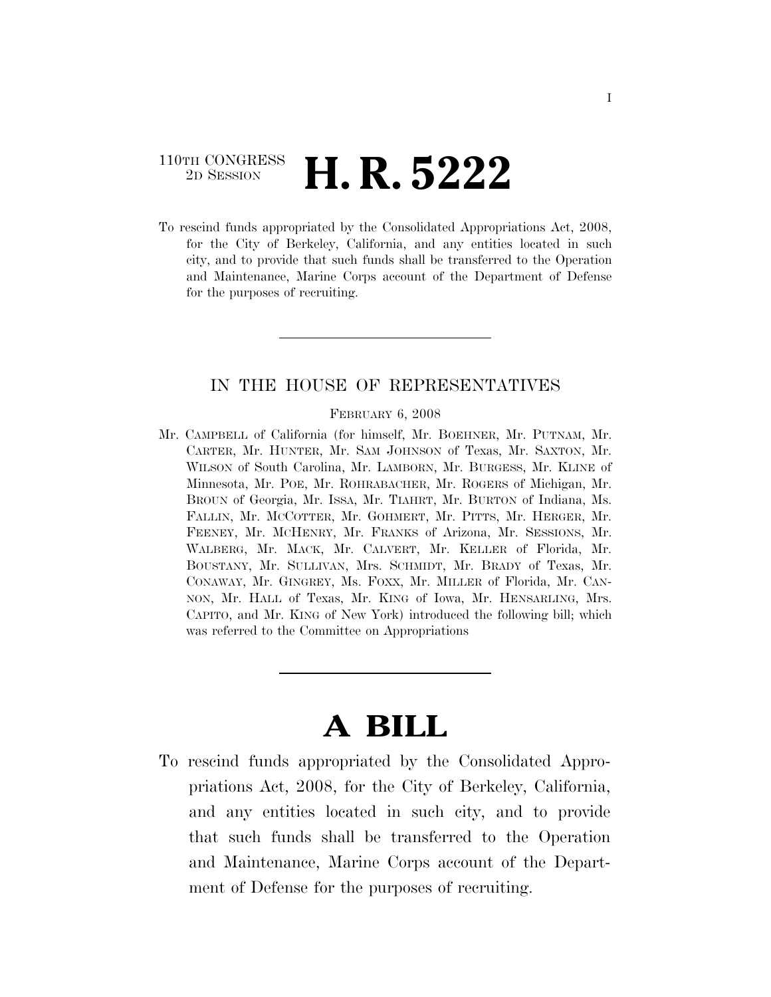# 110TH CONGRESS <sup>2D SESSION</sup> **H. R. 5222**

To rescind funds appropriated by the Consolidated Appropriations Act, 2008, for the City of Berkeley, California, and any entities located in such city, and to provide that such funds shall be transferred to the Operation and Maintenance, Marine Corps account of the Department of Defense for the purposes of recruiting.

### IN THE HOUSE OF REPRESENTATIVES

#### FEBRUARY 6, 2008

Mr. CAMPBELL of California (for himself, Mr. BOEHNER, Mr. PUTNAM, Mr. CARTER, Mr. HUNTER, Mr. SAM JOHNSON of Texas, Mr. SAXTON, Mr. WILSON of South Carolina, Mr. LAMBORN, Mr. BURGESS, Mr. KLINE of Minnesota, Mr. POE, Mr. ROHRABACHER, Mr. ROGERS of Michigan, Mr. BROUN of Georgia, Mr. ISSA, Mr. TIAHRT, Mr. BURTON of Indiana, Ms. FALLIN, Mr. MCCOTTER, Mr. GOHMERT, Mr. PITTS, Mr. HERGER, Mr. FEENEY, Mr. MCHENRY, Mr. FRANKS of Arizona, Mr. SESSIONS, Mr. WALBERG, Mr. MACK, Mr. CALVERT, Mr. KELLER of Florida, Mr. BOUSTANY, Mr. SULLIVAN, Mrs. SCHMIDT, Mr. BRADY of Texas, Mr. CONAWAY, Mr. GINGREY, Ms. FOXX, Mr. MILLER of Florida, Mr. CAN-NON, Mr. HALL of Texas, Mr. KING of Iowa, Mr. HENSARLING, Mrs. CAPITO, and Mr. KING of New York) introduced the following bill; which was referred to the Committee on Appropriations

# **A BILL**

To rescind funds appropriated by the Consolidated Appropriations Act, 2008, for the City of Berkeley, California, and any entities located in such city, and to provide that such funds shall be transferred to the Operation and Maintenance, Marine Corps account of the Department of Defense for the purposes of recruiting.